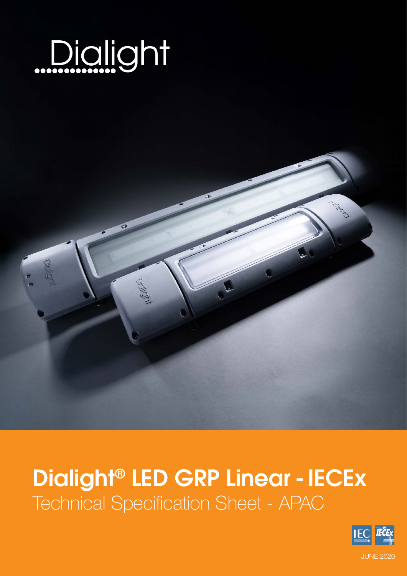

# Dialight® LED GRP Linear - IECEx Technical Specification Sheet - APAC

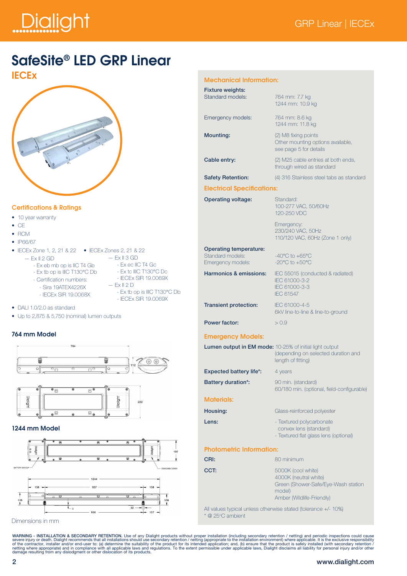# Dialight

### SafeSite® LED GRP Linear



#### Certifications & Ratings

- 10 year warranty
- CE
- RCM
- IP66/67
- IECEx Zone 1, 2, 21 & 22 IECEx Zones 2, 21 & 22
	- $-$  Ex II 3 GD
	- Ex eb mb op is IIC T4 Gb
	- Ex tb op is IIIC T130°C Db
	- Certification numbers:
- 

- Ex ec IIC T4 Gc

- Sira 19ATEX4226X
- IECEx SIR 19.0068X
- Ex tc IIIC T130°C Dc - IECEx SIR 19.0069X  $-$  Ex II 2 D - Ex tb op is IIIC T130°C Db
- IECEx SIR 19.0069X
- DALL 1.0/2.0 as standard

 $-$  Ex II 2 GD

• Up to 2,875 & 5,750 (nominal) lumen outputs

#### 764 mm Model





#### 1244 mm Model



Dimensions in mm

| <b>MECHANICAL INTONITATION.</b>                                        |                                                                                                                      |
|------------------------------------------------------------------------|----------------------------------------------------------------------------------------------------------------------|
| <b>Fixture weights:</b><br><b>Standard models:</b>                     | 764 mm: 7.7 kg<br>1244 mm: 10.9 kg                                                                                   |
| Emergency models:                                                      | 764 mm: 8.6 kg<br>1244 mm: 11.8 kg                                                                                   |
| <b>Mounting:</b>                                                       | (2) M8 fixing points<br>Other mounting options available,<br>see page 5 for details                                  |
| Cable entry:                                                           | (2) M25 cable entries at both ends,<br>through wired as standard                                                     |
| <b>Safety Retention:</b>                                               | (4) 316 Stainless steel tabs as standard                                                                             |
| <b>Electrical Specifications:</b>                                      |                                                                                                                      |
| <b>Operating voltage:</b>                                              | Standard:<br>100-277 VAC, 50/60Hz<br>120-250 VDC                                                                     |
|                                                                        | Emergency:<br>230/240 VAC, 50Hz<br>110/120 VAC, 60Hz (Zone 1 only)                                                   |
| <b>Operating temperature:</b><br>Standard models:<br>Emergency models: | $-40^{\circ}$ C to $+65^{\circ}$ C<br>$-20^{\circ}$ C to $+50^{\circ}$ C                                             |
| Harmonics & emissions:                                                 | IEC 55015 (conducted & radiated)<br>IEC 61000-3-2<br>IEC 61000-3-3<br><b>IEC 61547</b>                               |
| <b>Transient protection:</b>                                           | IEC 61000-4-5<br>6kV line-to-line & line-to-ground                                                                   |
| Power factor:                                                          | > 0.9                                                                                                                |
| <b>Emergency Models:</b>                                               |                                                                                                                      |
|                                                                        | Lumen output in EM mode: 10-25% of initial light output<br>(depending on selected duration and<br>length of fitting) |
| <b>Expected battery life*:</b>                                         | 4 years                                                                                                              |
| <b>Battery duration*:</b>                                              | 90 min. (standard)<br>60/180 min. (optional, field-configurable)                                                     |
| <b>Materials:</b>                                                      |                                                                                                                      |
| Housing:                                                               | Glass-reinforced polyester                                                                                           |
| Lens:                                                                  | - Textured polycarbonate<br>convex lens (standard)<br>- Textured flat glass lens (optional)                          |
| <b>Photometric Information:</b>                                        |                                                                                                                      |
| CRI:                                                                   | 80 minimum                                                                                                           |
| CCT:                                                                   | 5000K (cool white)<br>4000K (neutral white)<br>Green (Shower-Safe/Eye-Wash station<br>model)                         |

Amber (Wildlife-Friendly)

All values typical unless otherwise stated (tolerance +/- 10%) \* @ 25°C ambient

WARNING - INSTALLATION & SECONDARY RETENTION. Use of any Dialight products without proper installation (including secondary retention in charge in installation environment) where applicable. It is the exclusive responsibil

#### 2 www.dialight.com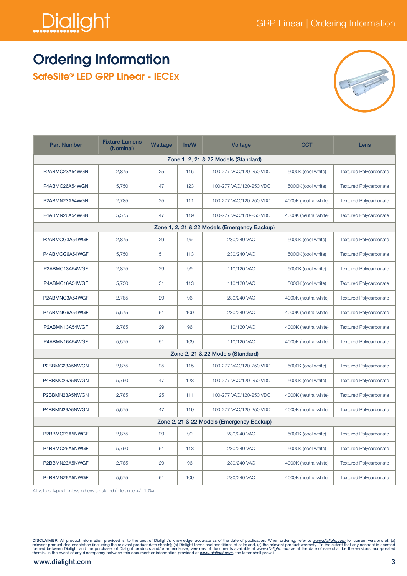

## Ordering Information

SafeSite® LED GRP Linear - IECEx



| <b>Part Number</b>                                                                                        | <b>Fixture Lumens</b><br>(Nominal) | Wattage | Im/W | <b>Voltage</b>                    | <b>CCT</b>            | Lens                          |  |  |  |  |
|-----------------------------------------------------------------------------------------------------------|------------------------------------|---------|------|-----------------------------------|-----------------------|-------------------------------|--|--|--|--|
| Zone 1, 2, 21 & 22 Models (Standard)                                                                      |                                    |         |      |                                   |                       |                               |  |  |  |  |
| P2ABMC23A54WGN                                                                                            | 2,875                              | 25      | 115  | 100-277 VAC/120-250 VDC           | 5000K (cool white)    | <b>Textured Polycarbonate</b> |  |  |  |  |
| P4ABMC26A54WGN                                                                                            | 5,750                              | 47      | 123  | 100-277 VAC/120-250 VDC           | 5000K (cool white)    | <b>Textured Polycarbonate</b> |  |  |  |  |
| P2ABMN23A54WGN                                                                                            | 2,785                              | 25      | 111  | 100-277 VAC/120-250 VDC           | 4000K (neutral white) | <b>Textured Polycarbonate</b> |  |  |  |  |
| P4ABMN26A54WGN                                                                                            | 5,575                              | 47      | 119  | 100-277 VAC/120-250 VDC           | 4000K (neutral white) | <b>Textured Polycarbonate</b> |  |  |  |  |
| Zone 1, 2, 21 & 22 Models (Emergency Backup)                                                              |                                    |         |      |                                   |                       |                               |  |  |  |  |
| P2ABMCG3A54WGF<br>2,875<br>29<br>99<br>230/240 VAC<br>5000K (cool white)<br><b>Textured Polycarbonate</b> |                                    |         |      |                                   |                       |                               |  |  |  |  |
| P4ABMCG6A54WGF                                                                                            | 5,750                              | 51      | 113  | 230/240 VAC                       | 5000K (cool white)    | <b>Textured Polycarbonate</b> |  |  |  |  |
| P2ABMC13A54WGF                                                                                            | 2,875                              | 29      | 99   | 110/120 VAC                       | 5000K (cool white)    | <b>Textured Polycarbonate</b> |  |  |  |  |
| P4ABMC16A54WGF                                                                                            | 5.750                              | 51      | 113  | 110/120 VAC                       | 5000K (cool white)    | <b>Textured Polycarbonate</b> |  |  |  |  |
| P2ABMNG3A54WGF                                                                                            | 2,785                              | 29      | 96   | 230/240 VAC                       | 4000K (neutral white) | <b>Textured Polycarbonate</b> |  |  |  |  |
| P4ABMNG6A54WGF                                                                                            | 5,575                              | 51      | 109  | 230/240 VAC                       | 4000K (neutral white) | <b>Textured Polycarbonate</b> |  |  |  |  |
| P2ABMN13A54WGF                                                                                            | 2,785                              | 29      | 96   | 110/120 VAC                       | 4000K (neutral white) | <b>Textured Polycarbonate</b> |  |  |  |  |
| P4ABMN16A54WGF                                                                                            | 5,575                              | 51      | 109  | 110/120 VAC                       | 4000K (neutral white) | <b>Textured Polycarbonate</b> |  |  |  |  |
|                                                                                                           |                                    |         |      | Zone 2, 21 & 22 Models (Standard) |                       |                               |  |  |  |  |
| P2BBMC23A5NWGN                                                                                            | 2,875                              | 25      | 115  | 100-277 VAC/120-250 VDC           | 5000K (cool white)    | <b>Textured Polycarbonate</b> |  |  |  |  |
| P4BBMC26A5NWGN                                                                                            | 5,750                              | 47      | 123  | 100-277 VAC/120-250 VDC           | 5000K (cool white)    | <b>Textured Polycarbonate</b> |  |  |  |  |
| P2BBMN23A5NWGN                                                                                            | 2,785                              | 25      | 111  | 100-277 VAC/120-250 VDC           | 4000K (neutral white) | <b>Textured Polycarbonate</b> |  |  |  |  |
| P4BBMN26A5NWGN                                                                                            | 5,575                              | 47      | 119  | 100-277 VAC/120-250 VDC           | 4000K (neutral white) | <b>Textured Polycarbonate</b> |  |  |  |  |
| Zone 2, 21 & 22 Models (Emergency Backup)                                                                 |                                    |         |      |                                   |                       |                               |  |  |  |  |
| P2BBMC23A5NWGF                                                                                            | 2,875                              | 29      | 99   | 230/240 VAC                       | 5000K (cool white)    | <b>Textured Polycarbonate</b> |  |  |  |  |
| P4BBMC26A5NWGF                                                                                            | 5,750                              | 51      | 113  | 230/240 VAC                       | 5000K (cool white)    | <b>Textured Polycarbonate</b> |  |  |  |  |
| P2BBMN23A5NWGF                                                                                            | 2,785                              | 29      | 96   | 230/240 VAC                       | 4000K (neutral white) | <b>Textured Polycarbonate</b> |  |  |  |  |
| P4BBMN26A5NWGF                                                                                            | 5,575                              | 51      | 109  | 230/240 VAC                       | 4000K (neutral white) | <b>Textured Polycarbonate</b> |  |  |  |  |

All values typical unless otherwise stated (tolerance +/- 10%).

DISCLAIMER. All product information provided is, to the best of Dialight's knowledge, accurate as of the date of publication. When ordering, refer to <u>www.dialight.com</u> for current versions of: (a)<br>relevant product documen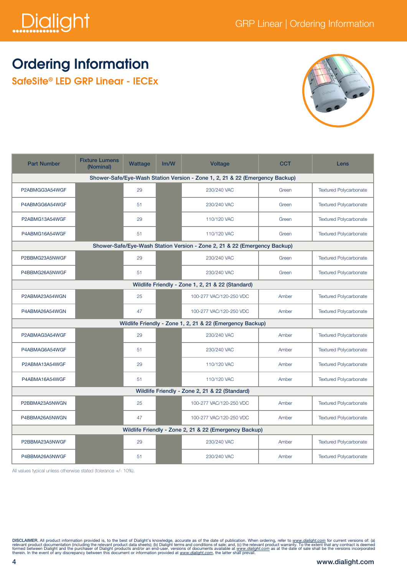

## Ordering Information

SafeSite® LED GRP Linear - IECEx



| <b>Part Number</b>                                                           | <b>Fixture Lumens</b><br>(Nominal) | Wattage | Im/W | <b>Voltage</b>          | <b>CCT</b> | Lens                          |  |  |  |
|------------------------------------------------------------------------------|------------------------------------|---------|------|-------------------------|------------|-------------------------------|--|--|--|
| Shower-Safe/Eye-Wash Station Version - Zone 1, 2, 21 & 22 (Emergency Backup) |                                    |         |      |                         |            |                               |  |  |  |
| P2ABMGG3A54WGF                                                               |                                    | 29      |      | 230/240 VAC             | Green      | <b>Textured Polycarbonate</b> |  |  |  |
| P4ABMGG6A54WGF                                                               |                                    | 51      |      | 230/240 VAC             | Green      | <b>Textured Polycarbonate</b> |  |  |  |
| P2ABMG13A54WGF                                                               |                                    | 29      |      | 110/120 VAC             | Green      | <b>Textured Polycarbonate</b> |  |  |  |
| P4ABMG16A54WGF                                                               |                                    | 51      |      | 110/120 VAC             | Green      | <b>Textured Polycarbonate</b> |  |  |  |
| Shower-Safe/Eye-Wash Station Version - Zone 2, 21 & 22 (Emergency Backup)    |                                    |         |      |                         |            |                               |  |  |  |
| P2BBMG23A5NWGF                                                               |                                    | 29      |      | 230/240 VAC             | Green      | <b>Textured Polycarbonate</b> |  |  |  |
| P4BBMG26A5NWGF                                                               |                                    | 51      |      | 230/240 VAC             | Green      | <b>Textured Polycarbonate</b> |  |  |  |
| Wildlife Friendly - Zone 1, 2, 21 & 22 (Standard)                            |                                    |         |      |                         |            |                               |  |  |  |
| P2ABMA23A54WGN                                                               |                                    | 25      |      | 100-277 VAC/120-250 VDC | Amber      | <b>Textured Polycarbonate</b> |  |  |  |
| P4ABMA26A54WGN                                                               |                                    | 47      |      | 100-277 VAC/120-250 VDC | Amber      | <b>Textured Polycarbonate</b> |  |  |  |
| Wildlife Friendly - Zone 1, 2, 21 & 22 (Emergency Backup)                    |                                    |         |      |                         |            |                               |  |  |  |
| P2ABMAG3A54WGF                                                               |                                    | 29      |      | 230/240 VAC             | Amber      | <b>Textured Polycarbonate</b> |  |  |  |
| P4ABMAG6A54WGF                                                               |                                    | 51      |      | 230/240 VAC             | Amber      | <b>Textured Polycarbonate</b> |  |  |  |
| P2ABMA13A54WGF                                                               |                                    | 29      |      | 110/120 VAC             | Amber      | <b>Textured Polycarbonate</b> |  |  |  |
| P4ABMA16A54WGF                                                               |                                    | 51      |      | 110/120 VAC             | Amber      | <b>Textured Polycarbonate</b> |  |  |  |
| Wildlife Friendly - Zone 2, 21 & 22 (Standard)                               |                                    |         |      |                         |            |                               |  |  |  |
| P2BBMA23A5NWGN                                                               |                                    | 25      |      | 100-277 VAC/120-250 VDC | Amber      | <b>Textured Polycarbonate</b> |  |  |  |
| P4BBMA26A5NWGN                                                               |                                    | 47      |      | 100-277 VAC/120-250 VDC | Amber      | <b>Textured Polycarbonate</b> |  |  |  |
| Wildlife Friendly - Zone 2, 21 & 22 (Emergency Backup)                       |                                    |         |      |                         |            |                               |  |  |  |
| P2BBMA23A5NWGF                                                               |                                    | 29      |      | 230/240 VAC             | Amber      | <b>Textured Polycarbonate</b> |  |  |  |
| P4BBMA26A5NWGF                                                               |                                    | 51      |      | 230/240 VAC             | Amber      | <b>Textured Polycarbonate</b> |  |  |  |

All values typical unless otherwise stated (tolerance +/- 10%).

DISCLAIMER. All product information provided is, to the best of Dialight's knowledge, accurate as of the date of publication. When ordering, refer to www.dialight.com for current versions of: (a)<br>relevant product documenta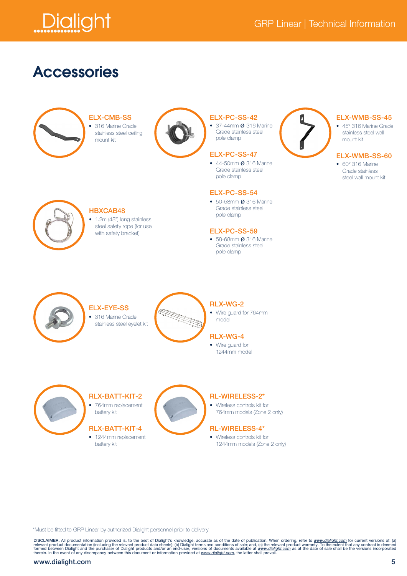

### Accessories



ELX-CMB-SS

• 316 Marine Grade stainless steel ceiling mount kit



#### ELX-PC-SS-42

• 37-44mm Ø 316 Marine Grade stainless steel pole clamp

#### ELX-PC-SS-47

• 44-50mm Ø 316 Marine Grade stainless steel pole clamp

#### ELX-PC-SS-54

• 50-58mm Ø 316 Marine Grade stainless steel pole clamp

#### ELX-PC-SS-59

• 58-68mm Ø 316 Marine Grade stainless steel pole clamp



#### ELX-WMB-SS-45

• 45° 316 Marine Grade stainless steel wall mount kit

#### ELX-WMB-SS-60

• 60° 316 Marine Grade stainless steel wall mount kit



#### HBXCAB48

• 1.2m (48") long stainless steel safety rope (for use with safety bracket)



### RLX-WG-2

• Wire guard for 764mm model

### RLX-WG-4

• Wire guard for 1244mm model



RLX-BATT-KIT-2 • 764mm replacement

battery kit

ELX-EYE-SS

### RLX-BATT-KIT-4

• 1244mm replacement battery kit



#### RL-WIRELESS-2\*

• Wireless controls kit for 764mm models (Zone 2 only)

#### RL-WIRELESS-4\*

• Wireless controls kit for 1244mm models (Zone 2 only)

\*Must be fitted to GRP Linear by authorized Dialight personnel prior to delivery

DISCLAIMER. All product information provided is, to the best of Dialight's knowledge, accurate as of the date of publication. When ordering, refer to www.dialight.com for current versions of: (a)<br>relevant product documenta

#### www.dialight.com 5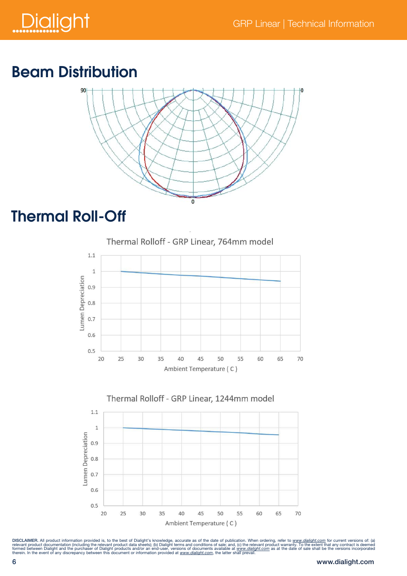

# Beam Distribution



## Thermal Roll-Off





DISCLAIMER. All product information provided is, to the best of Dialight's knowledge, accurate as of the date of publication. When ordering, refer to www.dialight.com for current versions of: (a)<br>relevant product documenta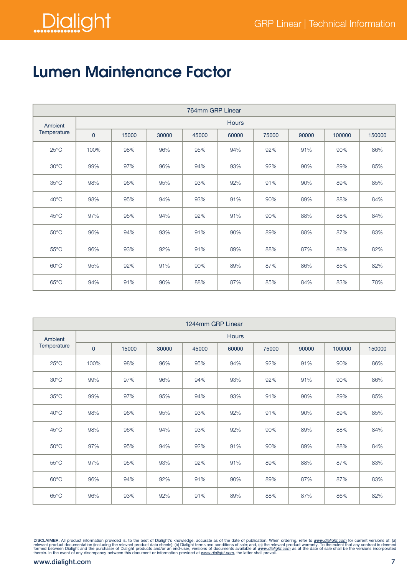

# Lumen Maintenance Factor

| 764mm GRP Linear       |                |       |       |       |       |       |       |        |        |  |  |  |
|------------------------|----------------|-------|-------|-------|-------|-------|-------|--------|--------|--|--|--|
| Ambient<br>Temperature | <b>Hours</b>   |       |       |       |       |       |       |        |        |  |  |  |
|                        | $\overline{0}$ | 15000 | 30000 | 45000 | 60000 | 75000 | 90000 | 100000 | 150000 |  |  |  |
| $25^{\circ}$ C         | 100%           | 98%   | 96%   | 95%   | 94%   | 92%   | 91%   | 90%    | 86%    |  |  |  |
| $30^{\circ}$ C         | 99%            | 97%   | 96%   | 94%   | 93%   | 92%   | 90%   | 89%    | 85%    |  |  |  |
| $35^{\circ}$ C         | 98%            | 96%   | 95%   | 93%   | 92%   | 91%   | 90%   | 89%    | 85%    |  |  |  |
| $40^{\circ}$ C         | 98%            | 95%   | 94%   | 93%   | 91%   | 90%   | 89%   | 88%    | 84%    |  |  |  |
| $45^{\circ}$ C         | 97%            | 95%   | 94%   | 92%   | 91%   | 90%   | 88%   | 88%    | 84%    |  |  |  |
| $50^{\circ}$ C         | 96%            | 94%   | 93%   | 91%   | 90%   | 89%   | 88%   | 87%    | 83%    |  |  |  |
| $55^{\circ}$ C         | 96%            | 93%   | 92%   | 91%   | 89%   | 88%   | 87%   | 86%    | 82%    |  |  |  |
| $60^{\circ}$ C         | 95%            | 92%   | 91%   | 90%   | 89%   | 87%   | 86%   | 85%    | 82%    |  |  |  |
| $65^{\circ}$ C         | 94%            | 91%   | 90%   | 88%   | 87%   | 85%   | 84%   | 83%    | 78%    |  |  |  |

| 1244mm GRP Linear                        |              |       |       |       |       |       |        |        |     |  |  |  |
|------------------------------------------|--------------|-------|-------|-------|-------|-------|--------|--------|-----|--|--|--|
| Ambient<br>Temperature<br>$\overline{0}$ | <b>Hours</b> |       |       |       |       |       |        |        |     |  |  |  |
|                                          | 15000        | 30000 | 45000 | 60000 | 75000 | 90000 | 100000 | 150000 |     |  |  |  |
| $25^{\circ}$ C                           | 100%         | 98%   | 96%   | 95%   | 94%   | 92%   | 91%    | 90%    | 86% |  |  |  |
| $30^{\circ}$ C                           | 99%          | 97%   | 96%   | 94%   | 93%   | 92%   | 91%    | 90%    | 86% |  |  |  |
| $35^{\circ}$ C                           | 99%          | 97%   | 95%   | 94%   | 93%   | 91%   | 90%    | 89%    | 85% |  |  |  |
| $40^{\circ}$ C                           | 98%          | 96%   | 95%   | 93%   | 92%   | 91%   | 90%    | 89%    | 85% |  |  |  |
| $45^{\circ}$ C                           | 98%          | 96%   | 94%   | 93%   | 92%   | 90%   | 89%    | 88%    | 84% |  |  |  |
| $50^{\circ}$ C                           | 97%          | 95%   | 94%   | 92%   | 91%   | 90%   | 89%    | 88%    | 84% |  |  |  |
| $55^{\circ}$ C                           | 97%          | 95%   | 93%   | 92%   | 91%   | 89%   | 88%    | 87%    | 83% |  |  |  |
| $60^{\circ}$ C                           | 96%          | 94%   | 92%   | 91%   | 90%   | 89%   | 87%    | 87%    | 83% |  |  |  |
| $65^{\circ}$ C                           | 96%          | 93%   | 92%   | 91%   | 89%   | 88%   | 87%    | 86%    | 82% |  |  |  |

DISCLAIMER. All product information provided is, to the best of Dialight's knowledge, accurate as of the date of publication. When ordering, refer to www.dialight.com for current versions of: (a)<br>relevant product documenta